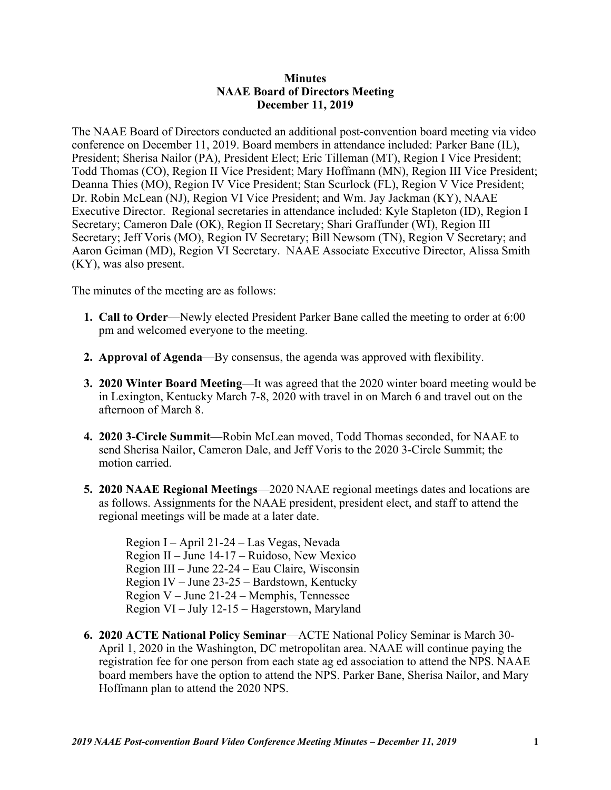## **Minutes NAAE Board of Directors Meeting December 11, 2019**

The NAAE Board of Directors conducted an additional post-convention board meeting via video conference on December 11, 2019. Board members in attendance included: Parker Bane (IL), President; Sherisa Nailor (PA), President Elect; Eric Tilleman (MT), Region I Vice President; Todd Thomas (CO), Region II Vice President; Mary Hoffmann (MN), Region III Vice President; Deanna Thies (MO), Region IV Vice President; Stan Scurlock (FL), Region V Vice President; Dr. Robin McLean (NJ), Region VI Vice President; and Wm. Jay Jackman (KY), NAAE Executive Director. Regional secretaries in attendance included: Kyle Stapleton (ID), Region I Secretary; Cameron Dale (OK), Region II Secretary; Shari Graffunder (WI), Region III Secretary; Jeff Voris (MO), Region IV Secretary; Bill Newsom (TN), Region V Secretary; and Aaron Geiman (MD), Region VI Secretary. NAAE Associate Executive Director, Alissa Smith (KY), was also present.

The minutes of the meeting are as follows:

- **1. Call to Order**—Newly elected President Parker Bane called the meeting to order at 6:00 pm and welcomed everyone to the meeting.
- **2. Approval of Agenda**—By consensus, the agenda was approved with flexibility.
- **3. 2020 Winter Board Meeting**—It was agreed that the 2020 winter board meeting would be in Lexington, Kentucky March 7-8, 2020 with travel in on March 6 and travel out on the afternoon of March 8.
- **4. 2020 3-Circle Summit**—Robin McLean moved, Todd Thomas seconded, for NAAE to send Sherisa Nailor, Cameron Dale, and Jeff Voris to the 2020 3-Circle Summit; the motion carried.
- **5. 2020 NAAE Regional Meetings**—2020 NAAE regional meetings dates and locations are as follows. Assignments for the NAAE president, president elect, and staff to attend the regional meetings will be made at a later date.

Region I – April 21-24 – Las Vegas, Nevada Region II – June 14-17 – Ruidoso, New Mexico Region III – June 22-24 – Eau Claire, Wisconsin Region IV – June 23-25 – Bardstown, Kentucky Region V – June 21-24 – Memphis, Tennessee Region VI – July 12-15 – Hagerstown, Maryland

**6. 2020 ACTE National Policy Seminar**—ACTE National Policy Seminar is March 30- April 1, 2020 in the Washington, DC metropolitan area. NAAE will continue paying the registration fee for one person from each state ag ed association to attend the NPS. NAAE board members have the option to attend the NPS. Parker Bane, Sherisa Nailor, and Mary Hoffmann plan to attend the 2020 NPS.